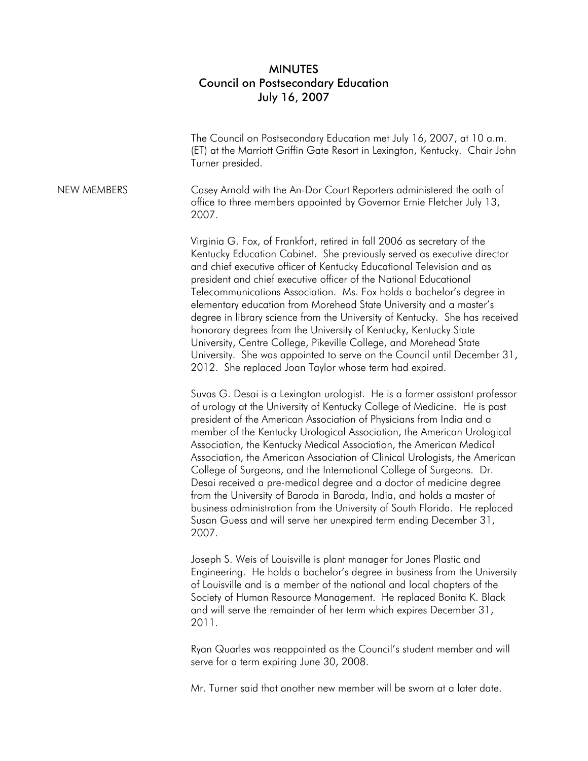## MINUTES Council on Postsecondary Education July 16, 2007

|                    | The Council on Postsecondary Education met July 16, 2007, at 10 a.m.<br>(ET) at the Marriott Griffin Gate Resort in Lexington, Kentucky. Chair John<br>Turner presided.                                                                                                                                                                                                                                                                                                                                                                                                                                                                                                                                                                                                                                                                          |
|--------------------|--------------------------------------------------------------------------------------------------------------------------------------------------------------------------------------------------------------------------------------------------------------------------------------------------------------------------------------------------------------------------------------------------------------------------------------------------------------------------------------------------------------------------------------------------------------------------------------------------------------------------------------------------------------------------------------------------------------------------------------------------------------------------------------------------------------------------------------------------|
| <b>NEW MEMBERS</b> | Casey Arnold with the An-Dor Court Reporters administered the oath of<br>office to three members appointed by Governor Ernie Fletcher July 13,<br>2007.                                                                                                                                                                                                                                                                                                                                                                                                                                                                                                                                                                                                                                                                                          |
|                    | Virginia G. Fox, of Frankfort, retired in fall 2006 as secretary of the<br>Kentucky Education Cabinet. She previously served as executive director<br>and chief executive officer of Kentucky Educational Television and as<br>president and chief executive officer of the National Educational<br>Telecommunications Association. Ms. Fox holds a bachelor's degree in<br>elementary education from Morehead State University and a master's<br>degree in library science from the University of Kentucky. She has received<br>honorary degrees from the University of Kentucky, Kentucky State<br>University, Centre College, Pikeville College, and Morehead State<br>University. She was appointed to serve on the Council until December 31,<br>2012. She replaced Joan Taylor whose term had expired.                                     |
|                    | Suvas G. Desai is a Lexington urologist. He is a former assistant professor<br>of urology at the University of Kentucky College of Medicine. He is past<br>president of the American Association of Physicians from India and a<br>member of the Kentucky Urological Association, the American Urological<br>Association, the Kentucky Medical Association, the American Medical<br>Association, the American Association of Clinical Urologists, the American<br>College of Surgeons, and the International College of Surgeons. Dr.<br>Desai received a pre-medical degree and a doctor of medicine degree<br>from the University of Baroda in Baroda, India, and holds a master of<br>business administration from the University of South Florida. He replaced<br>Susan Guess and will serve her unexpired term ending December 31,<br>2007. |
|                    | Joseph S. Weis of Louisville is plant manager for Jones Plastic and<br>Engineering. He holds a bachelor's degree in business from the University<br>of Louisville and is a member of the national and local chapters of the<br>Society of Human Resource Management. He replaced Bonita K. Black                                                                                                                                                                                                                                                                                                                                                                                                                                                                                                                                                 |

2011.

Ryan Quarles was reappointed as the Council's student member and will serve for a term expiring June 30, 2008.

and will serve the remainder of her term which expires December 31,

Mr. Turner said that another new member will be sworn at a later date.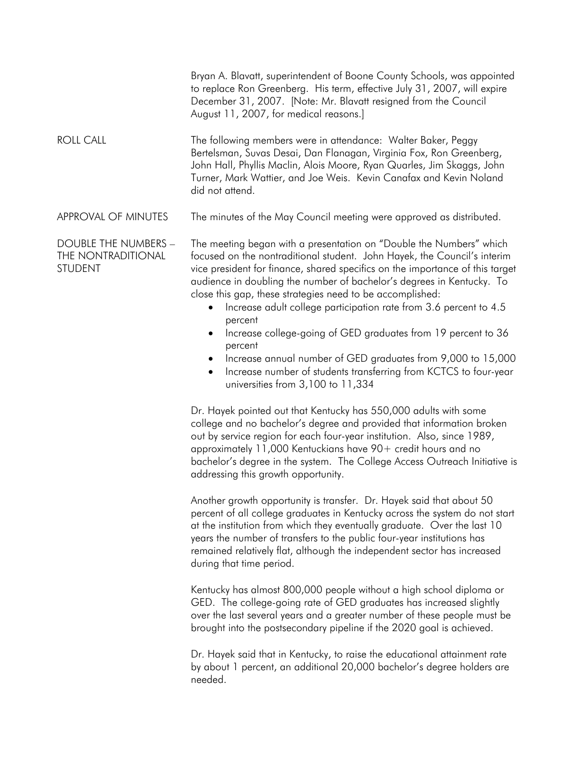|                                                              | Bryan A. Blavatt, superintendent of Boone County Schools, was appointed<br>to replace Ron Greenberg. His term, effective July 31, 2007, will expire<br>December 31, 2007. [Note: Mr. Blavatt resigned from the Council<br>August 11, 2007, for medical reasons.]                                                                                                                                                                                                                                                                   |
|--------------------------------------------------------------|------------------------------------------------------------------------------------------------------------------------------------------------------------------------------------------------------------------------------------------------------------------------------------------------------------------------------------------------------------------------------------------------------------------------------------------------------------------------------------------------------------------------------------|
| <b>ROLL CALL</b>                                             | The following members were in attendance: Walter Baker, Peggy<br>Bertelsman, Suvas Desai, Dan Flanagan, Virginia Fox, Ron Greenberg,<br>John Hall, Phyllis Maclin, Alois Moore, Ryan Quarles, Jim Skaggs, John<br>Turner, Mark Wattier, and Joe Weis. Kevin Canafax and Kevin Noland<br>did not attend.                                                                                                                                                                                                                            |
| APPROVAL OF MINUTES                                          | The minutes of the May Council meeting were approved as distributed.                                                                                                                                                                                                                                                                                                                                                                                                                                                               |
| DOUBLE THE NUMBERS -<br>THE NONTRADITIONAL<br><b>STUDENT</b> | The meeting began with a presentation on "Double the Numbers" which<br>focused on the nontraditional student. John Hayek, the Council's interim<br>vice president for finance, shared specifics on the importance of this target<br>audience in doubling the number of bachelor's degrees in Kentucky. To<br>close this gap, these strategies need to be accomplished:<br>Increase adult college participation rate from 3.6 percent to 4.5<br>percent<br>Increase college-going of GED graduates from 19 percent to 36<br>percent |

- Increase annual number of GED graduates from 9,000 to 15,000
- Increase number of students transferring from KCTCS to four-year universities from 3,100 to 11,334

Dr. Hayek pointed out that Kentucky has 550,000 adults with some college and no bachelor's degree and provided that information broken out by service region for each four-year institution. Also, since 1989, approximately 11,000 Kentuckians have 90+ credit hours and no bachelor's degree in the system. The College Access Outreach Initiative is addressing this growth opportunity.

Another growth opportunity is transfer. Dr. Hayek said that about 50 percent of all college graduates in Kentucky across the system do not start at the institution from which they eventually graduate. Over the last 10 years the number of transfers to the public four-year institutions has remained relatively flat, although the independent sector has increased during that time period.

Kentucky has almost 800,000 people without a high school diploma or GED. The college-going rate of GED graduates has increased slightly over the last several years and a greater number of these people must be brought into the postsecondary pipeline if the 2020 goal is achieved.

Dr. Hayek said that in Kentucky, to raise the educational attainment rate by about 1 percent, an additional 20,000 bachelor's degree holders are needed.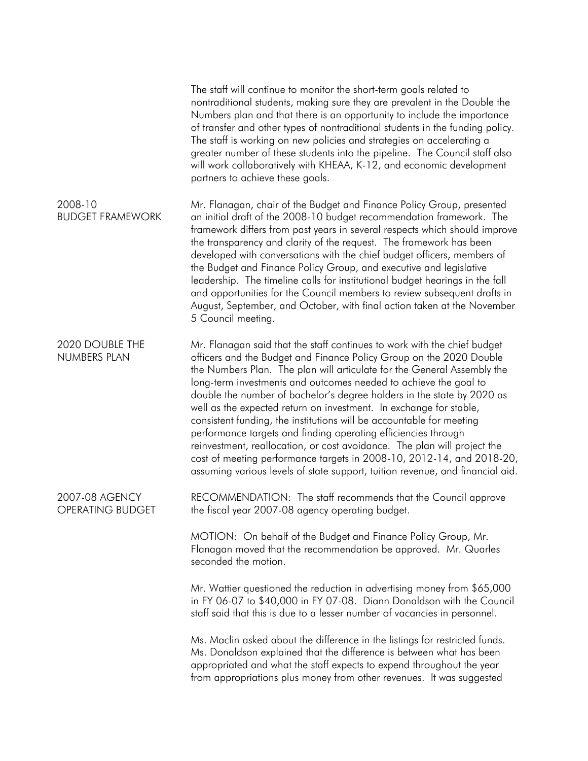|                                           | The staff will continue to monitor the short-term goals related to<br>nontraditional students, making sure they are prevalent in the Double the<br>Numbers plan and that there is an opportunity to include the importance<br>of transfer and other types of nontraditional students in the funding policy.<br>The staff is working on new policies and strategies on accelerating a<br>greater number of these students into the pipeline. The Council staff also<br>will work collaboratively with KHEAA, K-12, and economic development<br>partners to achieve these goals.                                                                                                                                                                                                                                                 |
|-------------------------------------------|--------------------------------------------------------------------------------------------------------------------------------------------------------------------------------------------------------------------------------------------------------------------------------------------------------------------------------------------------------------------------------------------------------------------------------------------------------------------------------------------------------------------------------------------------------------------------------------------------------------------------------------------------------------------------------------------------------------------------------------------------------------------------------------------------------------------------------|
| 2008-10<br><b>BUDGET FRAMEWORK</b>        | Mr. Flanagan, chair of the Budget and Finance Policy Group, presented<br>an initial draft of the 2008-10 budget recommendation framework. The<br>framework differs from past years in several respects which should improve<br>the transparency and clarity of the request. The framework has been<br>developed with conversations with the chief budget officers, members of<br>the Budget and Finance Policy Group, and executive and legislative<br>leadership. The timeline calls for institutional budget hearings in the fall<br>and opportunities for the Council members to review subsequent drafts in<br>August, September, and October, with final action taken at the November<br>5 Council meeting.                                                                                                               |
| 2020 DOUBLE THE<br>NUMBERS PLAN           | Mr. Flanagan said that the staff continues to work with the chief budget<br>officers and the Budget and Finance Policy Group on the 2020 Double<br>the Numbers Plan. The plan will articulate for the General Assembly the<br>long-term investments and outcomes needed to achieve the goal to<br>double the number of bachelor's degree holders in the state by 2020 as<br>well as the expected return on investment. In exchange for stable,<br>consistent funding, the institutions will be accountable for meeting<br>performance targets and finding operating efficiencies through<br>reinvestment, reallocation, or cost avoidance. The plan will project the<br>cost of meeting performance targets in 2008-10, 2012-14, and 2018-20,<br>assuming various levels of state support, tuition revenue, and financial aid. |
| 2007-08 AGENCY<br><b>OPERATING BUDGET</b> | RECOMMENDATION: The staff recommends that the Council approve<br>the fiscal year 2007-08 agency operating budget.                                                                                                                                                                                                                                                                                                                                                                                                                                                                                                                                                                                                                                                                                                              |
|                                           | MOTION: On behalf of the Budget and Finance Policy Group, Mr.<br>Flanagan moved that the recommendation be approved. Mr. Quarles<br>seconded the motion.                                                                                                                                                                                                                                                                                                                                                                                                                                                                                                                                                                                                                                                                       |
|                                           | Mr. Wattier questioned the reduction in advertising money from \$65,000<br>in FY 06-07 to \$40,000 in FY 07-08. Diann Donaldson with the Council<br>staff said that this is due to a lesser number of vacancies in personnel.                                                                                                                                                                                                                                                                                                                                                                                                                                                                                                                                                                                                  |
|                                           | Ms. Maclin asked about the difference in the listings for restricted funds.<br>Ms. Donaldson explained that the difference is between what has been<br>appropriated and what the staff expects to expend throughout the year<br>from appropriations plus money from other revenues. It was suggested                                                                                                                                                                                                                                                                                                                                                                                                                                                                                                                           |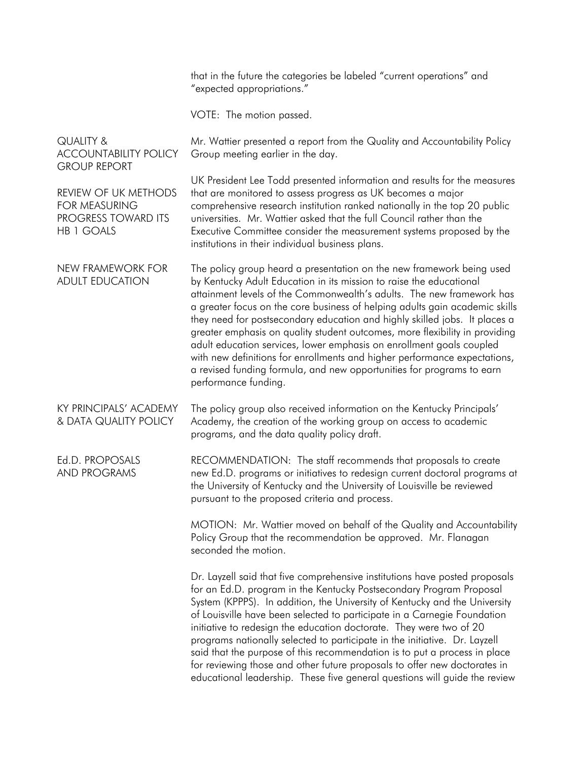that in the future the categories be labeled "current operations" and "expected appropriations."

VOTE: The motion passed.

QUALITY & ACCOUNTABILITY POLICY GROUP REPORT Mr. Wattier presented a report from the Quality and Accountability Policy Group meeting earlier in the day. REVIEW OF UK METHODS FOR MEASURING PROGRESS TOWARD ITS HB 1 GOALS UK President Lee Todd presented information and results for the measures that are monitored to assess progress as UK becomes a major comprehensive research institution ranked nationally in the top 20 public universities. Mr. Wattier asked that the full Council rather than the Executive Committee consider the measurement systems proposed by the institutions in their individual business plans. NEW FRAMEWORK FOR ADULT EDUCATION The policy group heard a presentation on the new framework being used by Kentucky Adult Education in its mission to raise the educational attainment levels of the Commonwealth's adults. The new framework has a greater focus on the core business of helping adults gain academic skills they need for postsecondary education and highly skilled jobs. It places a greater emphasis on quality student outcomes, more flexibility in providing adult education services, lower emphasis on enrollment goals coupled with new definitions for enrollments and higher performance expectations, a revised funding formula, and new opportunities for programs to earn performance funding. KY PRINCIPALS' ACADEMY & DATA QUALITY POLICY The policy group also received information on the Kentucky Principals' Academy, the creation of the working group on access to academic programs, and the data quality policy draft. Ed.D. PROPOSALS AND PROGRAMS RECOMMENDATION: The staff recommends that proposals to create new Ed.D. programs or initiatives to redesign current doctoral programs at the University of Kentucky and the University of Louisville be reviewed pursuant to the proposed criteria and process. MOTION: Mr. Wattier moved on behalf of the Quality and Accountability Policy Group that the recommendation be approved. Mr. Flanagan seconded the motion. Dr. Layzell said that five comprehensive institutions have posted proposals for an Ed.D. program in the Kentucky Postsecondary Program Proposal System (KPPPS). In addition, the University of Kentucky and the University of Louisville have been selected to participate in a Carnegie Foundation initiative to redesign the education doctorate. They were two of 20 programs nationally selected to participate in the initiative. Dr. Layzell said that the purpose of this recommendation is to put a process in place for reviewing those and other future proposals to offer new doctorates in educational leadership. These five general questions will guide the review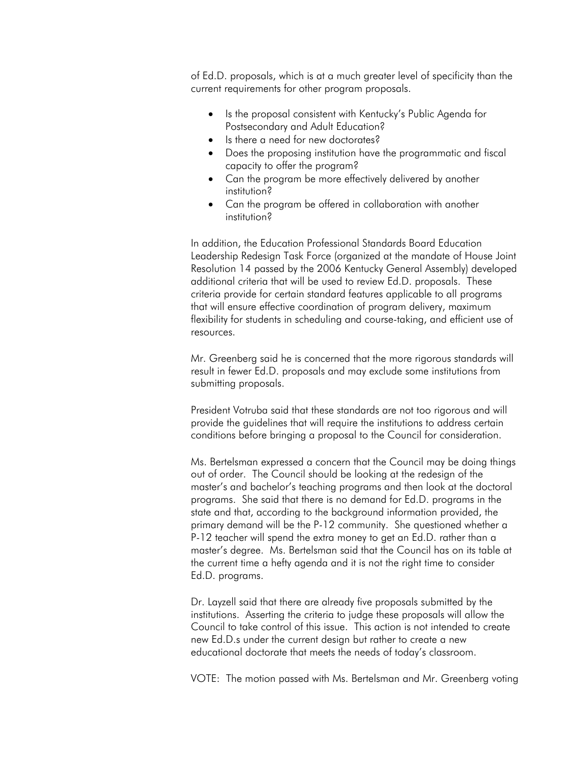of Ed.D. proposals, which is at a much greater level of specificity than the current requirements for other program proposals.

- Is the proposal consistent with Kentucky's Public Agenda for Postsecondary and Adult Education?
- Is there a need for new doctorates?
- Does the proposing institution have the programmatic and fiscal capacity to offer the program?
- Can the program be more effectively delivered by another institution?
- Can the program be offered in collaboration with another institution?

In addition, the Education Professional Standards Board Education Leadership Redesign Task Force (organized at the mandate of House Joint Resolution 14 passed by the 2006 Kentucky General Assembly) developed additional criteria that will be used to review Ed.D. proposals. These criteria provide for certain standard features applicable to all programs that will ensure effective coordination of program delivery, maximum flexibility for students in scheduling and course-taking, and efficient use of resources.

Mr. Greenberg said he is concerned that the more rigorous standards will result in fewer Ed.D. proposals and may exclude some institutions from submitting proposals.

President Votruba said that these standards are not too rigorous and will provide the guidelines that will require the institutions to address certain conditions before bringing a proposal to the Council for consideration.

Ms. Bertelsman expressed a concern that the Council may be doing things out of order. The Council should be looking at the redesign of the master's and bachelor's teaching programs and then look at the doctoral programs. She said that there is no demand for Ed.D. programs in the state and that, according to the background information provided, the primary demand will be the P-12 community. She questioned whether a P-12 teacher will spend the extra money to get an Ed.D. rather than a master's degree. Ms. Bertelsman said that the Council has on its table at the current time a hefty agenda and it is not the right time to consider Ed.D. programs.

Dr. Layzell said that there are already five proposals submitted by the institutions. Asserting the criteria to judge these proposals will allow the Council to take control of this issue. This action is not intended to create new Ed.D.s under the current design but rather to create a new educational doctorate that meets the needs of today's classroom.

VOTE: The motion passed with Ms. Bertelsman and Mr. Greenberg voting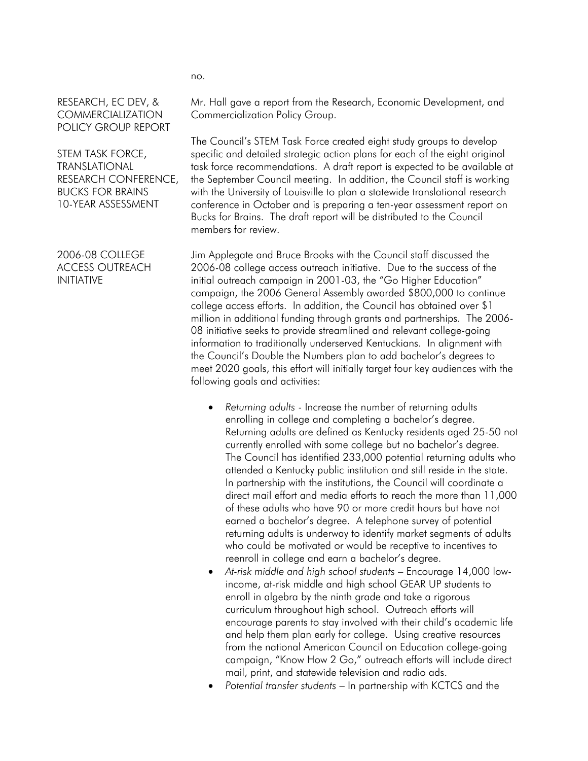## RESEARCH, EC DEV, & **COMMERCIALIZATION** POLICY GROUP REPORT

STEM TASK FORCE, TRANSLATIONAL RESEARCH CONFERENCE, BUCKS FOR BRAINS 10-YEAR ASSESSMENT

2006-08 COLLEGE ACCESS OUTREACH INITIATIVE

Mr. Hall gave a report from the Research, Economic Development, and Commercialization Policy Group.

The Council's STEM Task Force created eight study groups to develop specific and detailed strategic action plans for each of the eight original task force recommendations. A draft report is expected to be available at the September Council meeting. In addition, the Council staff is working with the University of Louisville to plan a statewide translational research conference in October and is preparing a ten-year assessment report on Bucks for Brains. The draft report will be distributed to the Council members for review.

Jim Applegate and Bruce Brooks with the Council staff discussed the 2006-08 college access outreach initiative. Due to the success of the initial outreach campaign in 2001-03, the "Go Higher Education" campaign, the 2006 General Assembly awarded \$800,000 to continue college access efforts. In addition, the Council has obtained over \$1 million in additional funding through grants and partnerships. The 2006- 08 initiative seeks to provide streamlined and relevant college-going information to traditionally underserved Kentuckians. In alignment with the Council's Double the Numbers plan to add bachelor's degrees to meet 2020 goals, this effort will initially target four key audiences with the following goals and activities:

- *Returning adults* Increase the number of returning adults enrolling in college and completing a bachelor's degree. Returning adults are defined as Kentucky residents aged 25-50 not currently enrolled with some college but no bachelor's degree. The Council has identified 233,000 potential returning adults who attended a Kentucky public institution and still reside in the state. In partnership with the institutions, the Council will coordinate a direct mail effort and media efforts to reach the more than 11,000 of these adults who have 90 or more credit hours but have not earned a bachelor's degree. A telephone survey of potential returning adults is underway to identify market segments of adults who could be motivated or would be receptive to incentives to reenroll in college and earn a bachelor's degree.
- *At-risk middle and high school students* Encourage 14,000 lowincome, at-risk middle and high school GEAR UP students to enroll in algebra by the ninth grade and take a rigorous curriculum throughout high school. Outreach efforts will encourage parents to stay involved with their child's academic life and help them plan early for college. Using creative resources from the national American Council on Education college-going campaign, "Know How 2 Go," outreach efforts will include direct mail, print, and statewide television and radio ads.
- *Potential transfer students* In partnership with KCTCS and the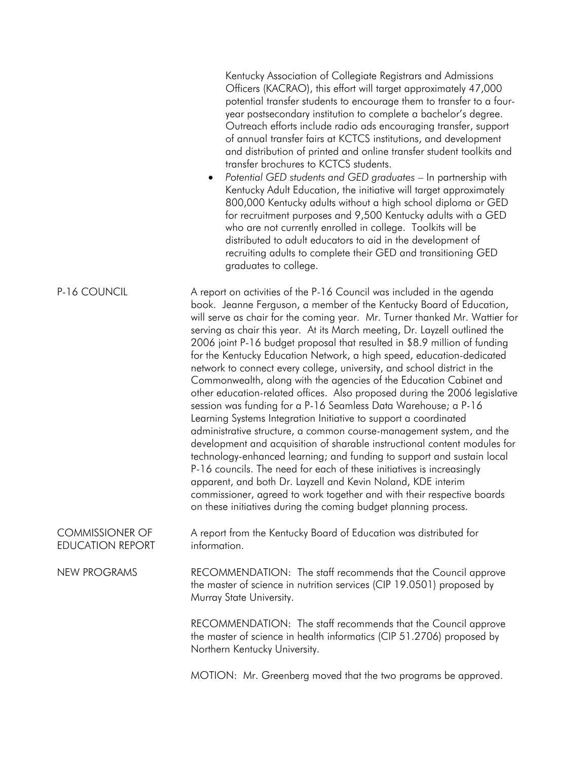|                                                   | Kentucky Association of Collegiate Registrars and Admissions<br>Officers (KACRAO), this effort will target approximately 47,000<br>potential transfer students to encourage them to transfer to a four-<br>year postsecondary institution to complete a bachelor's degree.<br>Outreach efforts include radio ads encouraging transfer, support<br>of annual transfer fairs at KCTCS institutions, and development<br>and distribution of printed and online transfer student toolkits and<br>transfer brochures to KCTCS students.<br>Potential GED students and GED graduates - In partnership with<br>$\bullet$<br>Kentucky Adult Education, the initiative will target approximately<br>800,000 Kentucky adults without a high school diploma or GED<br>for recruitment purposes and 9,500 Kentucky adults with a GED<br>who are not currently enrolled in college. Toolkits will be<br>distributed to adult educators to aid in the development of<br>recruiting adults to complete their GED and transitioning GED<br>graduates to college.                                                                                                                                                                                                                                                                                                           |
|---------------------------------------------------|------------------------------------------------------------------------------------------------------------------------------------------------------------------------------------------------------------------------------------------------------------------------------------------------------------------------------------------------------------------------------------------------------------------------------------------------------------------------------------------------------------------------------------------------------------------------------------------------------------------------------------------------------------------------------------------------------------------------------------------------------------------------------------------------------------------------------------------------------------------------------------------------------------------------------------------------------------------------------------------------------------------------------------------------------------------------------------------------------------------------------------------------------------------------------------------------------------------------------------------------------------------------------------------------------------------------------------------------------------|
| P-16 COUNCIL                                      | A report on activities of the P-16 Council was included in the agenda<br>book. Jeanne Ferguson, a member of the Kentucky Board of Education,<br>will serve as chair for the coming year. Mr. Turner thanked Mr. Wattier for<br>serving as chair this year. At its March meeting, Dr. Layzell outlined the<br>2006 joint P-16 budget proposal that resulted in \$8.9 million of funding<br>for the Kentucky Education Network, a high speed, education-dedicated<br>network to connect every college, university, and school district in the<br>Commonwealth, along with the agencies of the Education Cabinet and<br>other education-related offices. Also proposed during the 2006 legislative<br>session was funding for a P-16 Seamless Data Warehouse; a P-16<br>Learning Systems Integration Initiative to support a coordinated<br>administrative structure, a common course-management system, and the<br>development and acquisition of sharable instructional content modules for<br>technology-enhanced learning; and funding to support and sustain local<br>P-16 councils. The need for each of these initiatives is increasingly<br>apparent, and both Dr. Layzell and Kevin Noland, KDE interim<br>commissioner, agreed to work together and with their respective boards<br>on these initiatives during the coming budget planning process. |
| <b>COMMISSIONER OF</b><br><b>EDUCATION REPORT</b> | A report from the Kentucky Board of Education was distributed for<br>information.                                                                                                                                                                                                                                                                                                                                                                                                                                                                                                                                                                                                                                                                                                                                                                                                                                                                                                                                                                                                                                                                                                                                                                                                                                                                          |
| <b>NEW PROGRAMS</b>                               | RECOMMENDATION: The staff recommends that the Council approve<br>the master of science in nutrition services (CIP 19.0501) proposed by<br>Murray State University.                                                                                                                                                                                                                                                                                                                                                                                                                                                                                                                                                                                                                                                                                                                                                                                                                                                                                                                                                                                                                                                                                                                                                                                         |
|                                                   | RECOMMENDATION: The staff recommends that the Council approve<br>the master of science in health informatics (CIP 51.2706) proposed by<br>Northern Kentucky University.                                                                                                                                                                                                                                                                                                                                                                                                                                                                                                                                                                                                                                                                                                                                                                                                                                                                                                                                                                                                                                                                                                                                                                                    |
|                                                   | MOTION: Mr. Greenberg moved that the two programs be approved.                                                                                                                                                                                                                                                                                                                                                                                                                                                                                                                                                                                                                                                                                                                                                                                                                                                                                                                                                                                                                                                                                                                                                                                                                                                                                             |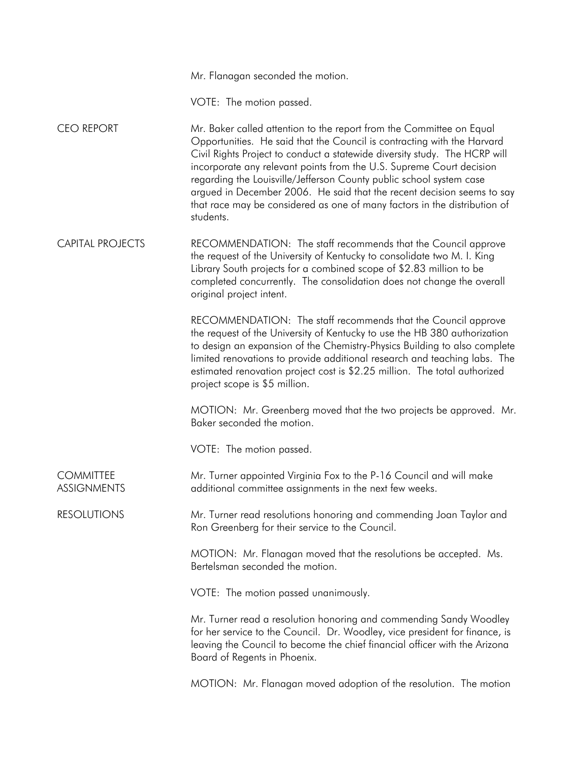Mr. Flanagan seconded the motion.

VOTE: The motion passed.

CEO REPORT Mr. Baker called attention to the report from the Committee on Equal Opportunities. He said that the Council is contracting with the Harvard Civil Rights Project to conduct a statewide diversity study. The HCRP will incorporate any relevant points from the U.S. Supreme Court decision regarding the Louisville/Jefferson County public school system case argued in December 2006. He said that the recent decision seems to say that race may be considered as one of many factors in the distribution of students.

CAPITAL PROJECTS RECOMMENDATION: The staff recommends that the Council approve the request of the University of Kentucky to consolidate two M. I. King Library South projects for a combined scope of \$2.83 million to be completed concurrently. The consolidation does not change the overall original project intent.

> RECOMMENDATION: The staff recommends that the Council approve the request of the University of Kentucky to use the HB 380 authorization to design an expansion of the Chemistry-Physics Building to also complete limited renovations to provide additional research and teaching labs. The estimated renovation project cost is \$2.25 million. The total authorized project scope is \$5 million.

> MOTION: Mr. Greenberg moved that the two projects be approved. Mr. Baker seconded the motion.

VOTE: The motion passed.

**COMMITTEE ASSIGNMENTS** Mr. Turner appointed Virginia Fox to the P-16 Council and will make additional committee assignments in the next few weeks.

RESOLUTIONS Mr. Turner read resolutions honoring and commending Joan Taylor and Ron Greenberg for their service to the Council.

> MOTION: Mr. Flanagan moved that the resolutions be accepted. Ms. Bertelsman seconded the motion.

VOTE: The motion passed unanimously.

Mr. Turner read a resolution honoring and commending Sandy Woodley for her service to the Council. Dr. Woodley, vice president for finance, is leaving the Council to become the chief financial officer with the Arizona Board of Regents in Phoenix.

MOTION: Mr. Flanagan moved adoption of the resolution. The motion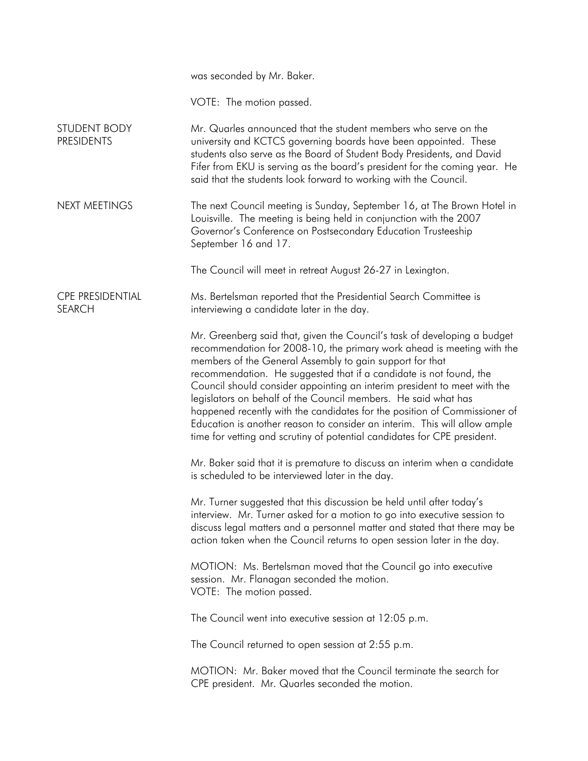|                                          | was seconded by Mr. Baker.                                                                                                                                                                                                                                                                                                                                                                                                                                                                                                                                                                                                                                               |
|------------------------------------------|--------------------------------------------------------------------------------------------------------------------------------------------------------------------------------------------------------------------------------------------------------------------------------------------------------------------------------------------------------------------------------------------------------------------------------------------------------------------------------------------------------------------------------------------------------------------------------------------------------------------------------------------------------------------------|
|                                          | VOTE: The motion passed.                                                                                                                                                                                                                                                                                                                                                                                                                                                                                                                                                                                                                                                 |
| STUDENT BODY<br><b>PRESIDENTS</b>        | Mr. Quarles announced that the student members who serve on the<br>university and KCTCS governing boards have been appointed. These<br>students also serve as the Board of Student Body Presidents, and David<br>Fifer from EKU is serving as the board's president for the coming year. He<br>said that the students look forward to working with the Council.                                                                                                                                                                                                                                                                                                          |
| <b>NEXT MEETINGS</b>                     | The next Council meeting is Sunday, September 16, at The Brown Hotel in<br>Louisville. The meeting is being held in conjunction with the 2007<br>Governor's Conference on Postsecondary Education Trusteeship<br>September 16 and 17.                                                                                                                                                                                                                                                                                                                                                                                                                                    |
|                                          | The Council will meet in retreat August 26-27 in Lexington.                                                                                                                                                                                                                                                                                                                                                                                                                                                                                                                                                                                                              |
| <b>CPE PRESIDENTIAL</b><br><b>SEARCH</b> | Ms. Bertelsman reported that the Presidential Search Committee is<br>interviewing a candidate later in the day.                                                                                                                                                                                                                                                                                                                                                                                                                                                                                                                                                          |
|                                          | Mr. Greenberg said that, given the Council's task of developing a budget<br>recommendation for 2008-10, the primary work ahead is meeting with the<br>members of the General Assembly to gain support for that<br>recommendation. He suggested that if a candidate is not found, the<br>Council should consider appointing an interim president to meet with the<br>legislators on behalf of the Council members. He said what has<br>happened recently with the candidates for the position of Commissioner of<br>Education is another reason to consider an interim. This will allow ample<br>time for vetting and scrutiny of potential candidates for CPE president. |
|                                          | Mr. Baker said that it is premature to discuss an interim when a candidate<br>is scheduled to be interviewed later in the day.                                                                                                                                                                                                                                                                                                                                                                                                                                                                                                                                           |
|                                          | Mr. Turner suggested that this discussion be held until after today's<br>interview. Mr. Turner asked for a motion to go into executive session to<br>discuss legal matters and a personnel matter and stated that there may be<br>action taken when the Council returns to open session later in the day.                                                                                                                                                                                                                                                                                                                                                                |
|                                          | MOTION: Ms. Bertelsman moved that the Council go into executive<br>session. Mr. Flanagan seconded the motion.<br>VOTE: The motion passed.                                                                                                                                                                                                                                                                                                                                                                                                                                                                                                                                |
|                                          | The Council went into executive session at 12:05 p.m.                                                                                                                                                                                                                                                                                                                                                                                                                                                                                                                                                                                                                    |
|                                          | The Council returned to open session at 2:55 p.m.                                                                                                                                                                                                                                                                                                                                                                                                                                                                                                                                                                                                                        |
|                                          | MOTION: Mr. Baker moved that the Council terminate the search for<br>CPE president. Mr. Quarles seconded the motion.                                                                                                                                                                                                                                                                                                                                                                                                                                                                                                                                                     |